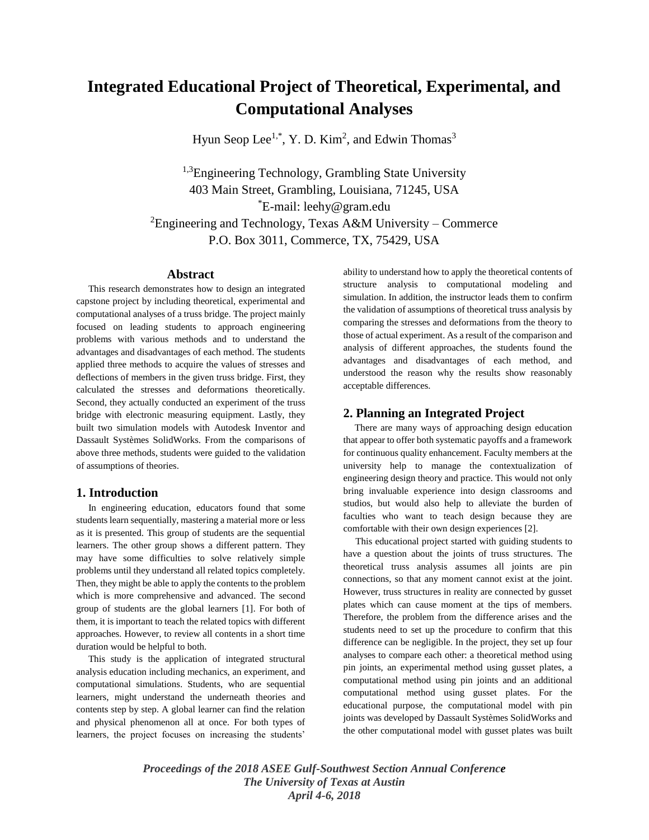# **Integrated Educational Project of Theoretical, Experimental, and Computational Analyses**

Hyun Seop Lee<sup>1,\*</sup>, Y. D. Kim<sup>2</sup>, and Edwin Thomas<sup>3</sup>

<sup>1,3</sup>Engineering Technology, Grambling State University 403 Main Street, Grambling, Louisiana, 71245, USA \*E-mail: leehy@gram.edu <sup>2</sup>Engineering and Technology, Texas A&M University – Commerce P.O. Box 3011, Commerce, TX, 75429, USA

#### **Abstract**

 This research demonstrates how to design an integrated capstone project by including theoretical, experimental and computational analyses of a truss bridge. The project mainly focused on leading students to approach engineering problems with various methods and to understand the advantages and disadvantages of each method. The students applied three methods to acquire the values of stresses and deflections of members in the given truss bridge. First, they calculated the stresses and deformations theoretically. Second, they actually conducted an experiment of the truss bridge with electronic measuring equipment. Lastly, they built two simulation models with Autodesk Inventor and Dassault Systèmes SolidWorks. From the comparisons of above three methods, students were guided to the validation of assumptions of theories.

#### **1. Introduction**

 In engineering education, educators found that some students learn sequentially, mastering a material more or less as it is presented. This group of students are the sequential learners. The other group shows a different pattern. They may have some difficulties to solve relatively simple problems until they understand all related topics completely. Then, they might be able to apply the contents to the problem which is more comprehensive and advanced. The second group of students are the global learners [1]. For both of them, it is important to teach the related topics with different approaches. However, to review all contents in a short time duration would be helpful to both.

 This study is the application of integrated structural analysis education including mechanics, an experiment, and computational simulations. Students, who are sequential learners, might understand the underneath theories and contents step by step. A global learner can find the relation and physical phenomenon all at once. For both types of learners, the project focuses on increasing the students'

ability to understand how to apply the theoretical contents of structure analysis to computational modeling and simulation. In addition, the instructor leads them to confirm the validation of assumptions of theoretical truss analysis by comparing the stresses and deformations from the theory to those of actual experiment. As a result of the comparison and analysis of different approaches, the students found the advantages and disadvantages of each method, and understood the reason why the results show reasonably acceptable differences.

## **2. Planning an Integrated Project**

 There are many ways of approaching design education that appear to offer both systematic payoffs and a framework for continuous quality enhancement. Faculty members at the university help to manage the contextualization of engineering design theory and practice. This would not only bring invaluable experience into design classrooms and studios, but would also help to alleviate the burden of faculties who want to teach design because they are comfortable with their own design experiences [2].

 This educational project started with guiding students to have a question about the joints of truss structures. The theoretical truss analysis assumes all joints are pin connections, so that any moment cannot exist at the joint. However, truss structures in reality are connected by gusset plates which can cause moment at the tips of members. Therefore, the problem from the difference arises and the students need to set up the procedure to confirm that this difference can be negligible. In the project, they set up four analyses to compare each other: a theoretical method using pin joints, an experimental method using gusset plates, a computational method using pin joints and an additional computational method using gusset plates. For the educational purpose, the computational model with pin joints was developed by Dassault Systèmes SolidWorks and the other computational model with gusset plates was built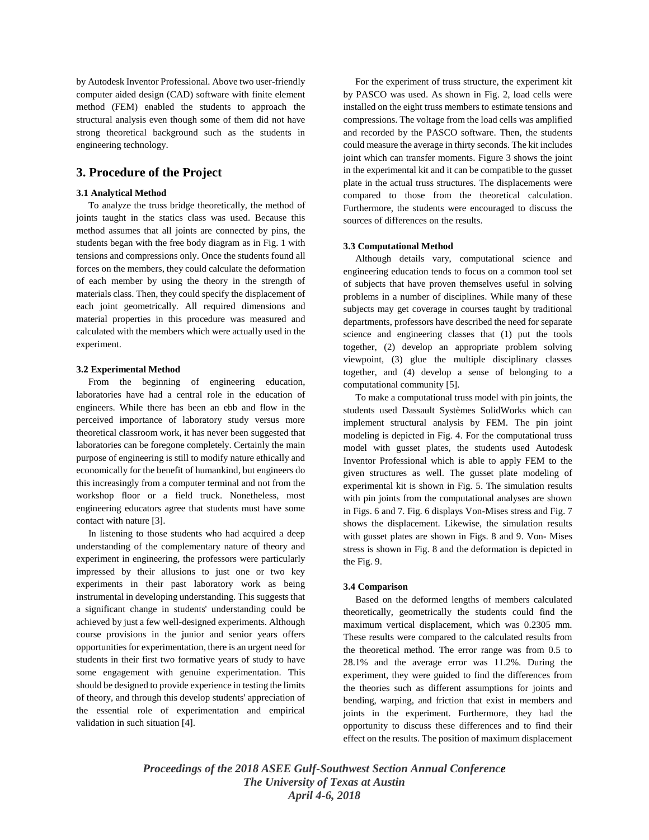by Autodesk Inventor Professional. Above two user-friendly computer aided design (CAD) software with finite element method (FEM) enabled the students to approach the structural analysis even though some of them did not have strong theoretical background such as the students in engineering technology.

## **3. Procedure of the Project**

#### **3.1 Analytical Method**

To analyze the truss bridge theoretically, the method of joints taught in the statics class was used. Because this method assumes that all joints are connected by pins, the students began with the free body diagram as in Fig. 1 with tensions and compressions only. Once the students found all forces on the members, they could calculate the deformation of each member by using the theory in the strength of materials class. Then, they could specify the displacement of each joint geometrically. All required dimensions and material properties in this procedure was measured and calculated with the members which were actually used in the experiment.

### **3.2 Experimental Method**

 From the beginning of engineering education, laboratories have had a central role in the education of engineers. While there has been an ebb and flow in the perceived importance of laboratory study versus more theoretical classroom work, it has never been suggested that laboratories can be foregone completely. Certainly the main purpose of engineering is still to modify nature ethically and economically for the benefit of humankind, but engineers do this increasingly from a computer terminal and not from the workshop floor or a field truck. Nonetheless, most engineering educators agree that students must have some contact with nature [3].

 In listening to those students who had acquired a deep understanding of the complementary nature of theory and experiment in engineering, the professors were particularly impressed by their allusions to just one or two key experiments in their past laboratory work as being instrumental in developing understanding. This suggests that a significant change in students' understanding could be achieved by just a few well-designed experiments. Although course provisions in the junior and senior years offers opportunities for experimentation, there is an urgent need for students in their first two formative years of study to have some engagement with genuine experimentation. This should be designed to provide experience in testing the limits of theory, and through this develop students' appreciation of the essential role of experimentation and empirical validation in such situation [4].

 For the experiment of truss structure, the experiment kit by PASCO was used. As shown in Fig. 2, load cells were installed on the eight truss members to estimate tensions and compressions. The voltage from the load cells was amplified and recorded by the PASCO software. Then, the students could measure the average in thirty seconds. The kit includes joint which can transfer moments. Figure 3 shows the joint in the experimental kit and it can be compatible to the gusset plate in the actual truss structures. The displacements were compared to those from the theoretical calculation. Furthermore, the students were encouraged to discuss the sources of differences on the results.

#### **3.3 Computational Method**

 Although details vary, computational science and engineering education tends to focus on a common tool set of subjects that have proven themselves useful in solving problems in a number of disciplines. While many of these subjects may get coverage in courses taught by traditional departments, professors have described the need for separate science and engineering classes that (1) put the tools together, (2) develop an appropriate problem solving viewpoint, (3) glue the multiple disciplinary classes together, and (4) develop a sense of belonging to a computational community [5].

 To make a computational truss model with pin joints, the students used Dassault Systèmes SolidWorks which can implement structural analysis by FEM. The pin joint modeling is depicted in Fig. 4. For the computational truss model with gusset plates, the students used Autodesk Inventor Professional which is able to apply FEM to the given structures as well. The gusset plate modeling of experimental kit is shown in Fig. 5. The simulation results with pin joints from the computational analyses are shown in Figs. 6 and 7. Fig. 6 displays Von-Mises stress and Fig. 7 shows the displacement. Likewise, the simulation results with gusset plates are shown in Figs. 8 and 9. Von- Mises stress is shown in Fig. 8 and the deformation is depicted in the Fig. 9.

#### **3.4 Comparison**

 Based on the deformed lengths of members calculated theoretically, geometrically the students could find the maximum vertical displacement, which was 0.2305 mm. These results were compared to the calculated results from the theoretical method. The error range was from 0.5 to 28.1% and the average error was 11.2%. During the experiment, they were guided to find the differences from the theories such as different assumptions for joints and bending, warping, and friction that exist in members and joints in the experiment. Furthermore, they had the opportunity to discuss these differences and to find their effect on the results. The position of maximum displacement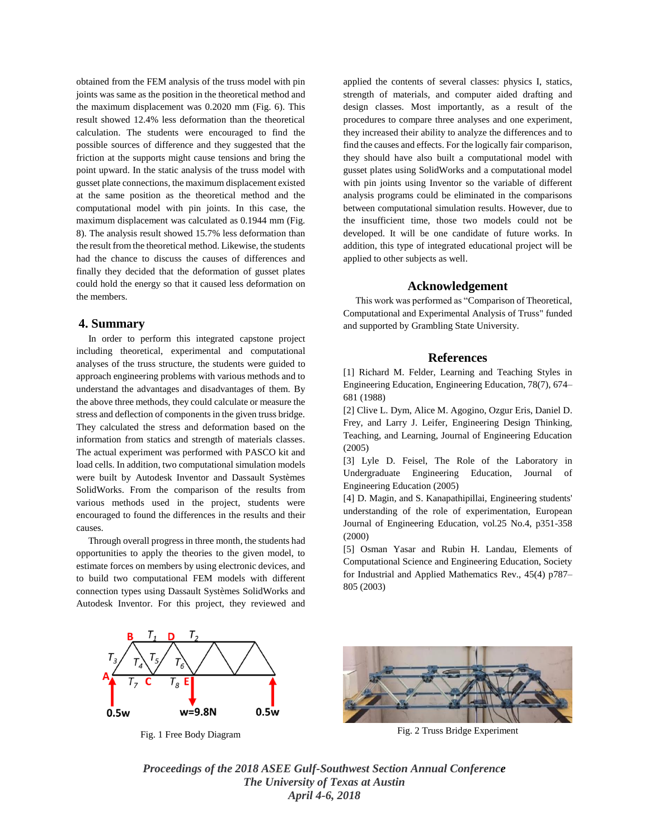obtained from the FEM analysis of the truss model with pin joints was same as the position in the theoretical method and the maximum displacement was 0.2020 mm (Fig. 6). This result showed 12.4% less deformation than the theoretical calculation. The students were encouraged to find the possible sources of difference and they suggested that the friction at the supports might cause tensions and bring the point upward. In the static analysis of the truss model with gusset plate connections, the maximum displacement existed at the same position as the theoretical method and the computational model with pin joints. In this case, the maximum displacement was calculated as 0.1944 mm (Fig. 8). The analysis result showed 15.7% less deformation than the result from the theoretical method. Likewise, the students had the chance to discuss the causes of differences and finally they decided that the deformation of gusset plates could hold the energy so that it caused less deformation on the members.

# **4. Summary**

 In order to perform this integrated capstone project including theoretical, experimental and computational analyses of the truss structure, the students were guided to approach engineering problems with various methods and to understand the advantages and disadvantages of them. By the above three methods, they could calculate or measure the stress and deflection of components in the given truss bridge. They calculated the stress and deformation based on the information from statics and strength of materials classes. The actual experiment was performed with PASCO kit and load cells. In addition, two computational simulation models were built by Autodesk Inventor and Dassault Systèmes SolidWorks. From the comparison of the results from various methods used in the project, students were encouraged to found the differences in the results and their causes.

 Through overall progress in three month, the students had opportunities to apply the theories to the given model, to estimate forces on members by using electronic devices, and to build two computational FEM models with different connection types using Dassault Systèmes SolidWorks and Autodesk Inventor. For this project, they reviewed and applied the contents of several classes: physics I, statics, strength of materials, and computer aided drafting and design classes. Most importantly, as a result of the procedures to compare three analyses and one experiment, they increased their ability to analyze the differences and to find the causes and effects. For the logically fair comparison, they should have also built a computational model with gusset plates using SolidWorks and a computational model with pin joints using Inventor so the variable of different analysis programs could be eliminated in the comparisons between computational simulation results. However, due to the insufficient time, those two models could not be developed. It will be one candidate of future works. In addition, this type of integrated educational project will be applied to other subjects as well.

#### **Acknowledgement**

 This work was performed as "Comparison of Theoretical, Computational and Experimental Analysis of Truss" funded and supported by Grambling State University.

#### **References**

[1] Richard M. Felder, Learning and Teaching Styles in Engineering Education, Engineering Education, 78(7), 674– 681 (1988)

[2] Clive L. Dym, Alice M. Agogino, Ozgur Eris, Daniel D. Frey, and Larry J. Leifer, Engineering Design Thinking, Teaching, and Learning, Journal of Engineering Education (2005)

[3] Lyle D. Feisel, The Role of the Laboratory in Undergraduate Engineering Education, Journal of Engineering Education (2005)

[4] D. Magin, and S. Kanapathipillai, Engineering students' understanding of the role of experimentation, European Journal of Engineering Education, vol.25 No.4, p351-358 (2000)

[5] Osman Yasar and Rubin H. Landau, Elements of Computational Science and Engineering Education, Society for Industrial and Applied Mathematics Rev., 45(4) p787– 805 (2003)





Fig. 1 Free Body Diagram Fig. 2 Truss Bridge Experiment